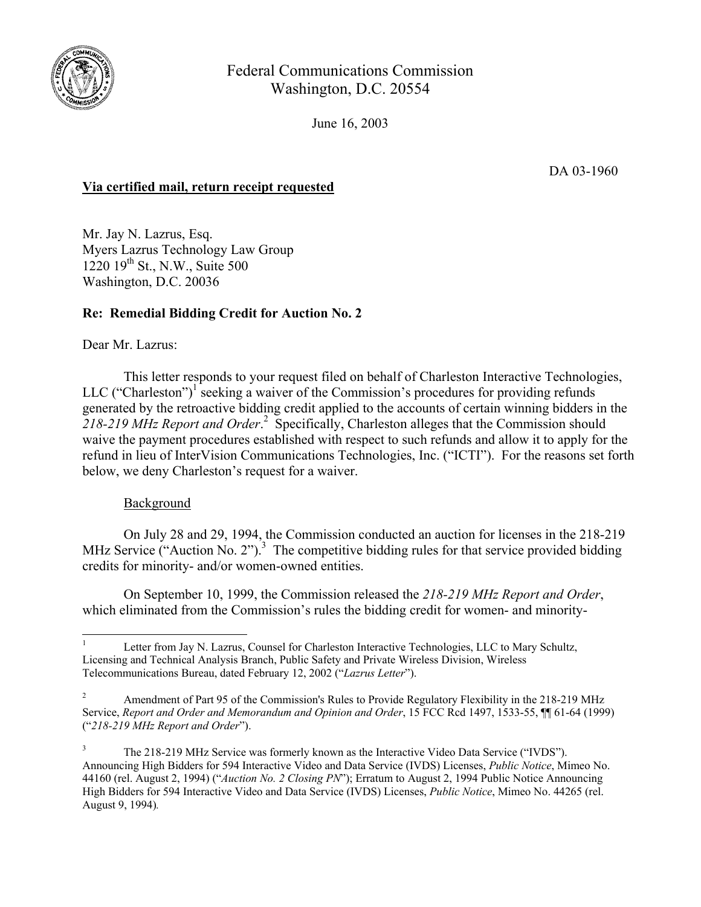

Federal Communications Commission Washington, D.C. 20554

June 16, 2003

DA 03-1960

# **Via certified mail, return receipt requested**

Mr. Jay N. Lazrus, Esq. Myers Lazrus Technology Law Group  $1220$   $19^{th}$  St., N.W., Suite 500 Washington, D.C. 20036

## **Re: Remedial Bidding Credit for Auction No. 2**

Dear Mr. Lazrus:

This letter responds to your request filed on behalf of Charleston Interactive Technologies, LLC ("Charleston")<sup>1</sup> seeking a waiver of the Commission's procedures for providing refunds generated by the retroactive bidding credit applied to the accounts of certain winning bidders in the 218-219 MHz Report and Order.<sup>2</sup> Specifically, Charleston alleges that the Commission should waive the payment procedures established with respect to such refunds and allow it to apply for the refund in lieu of InterVision Communications Technologies, Inc. ("ICTI"). For the reasons set forth below, we deny Charleston's request for a waiver.

## **Background**

 $\overline{\phantom{a}}$ 

 On July 28 and 29, 1994, the Commission conducted an auction for licenses in the 218-219 MHz Service ("Auction No. 2").<sup>3</sup> The competitive bidding rules for that service provided bidding credits for minority- and/or women-owned entities.

 On September 10, 1999, the Commission released the *218-219 MHz Report and Order*, which eliminated from the Commission's rules the bidding credit for women- and minority-

<sup>1</sup> Letter from Jay N. Lazrus, Counsel for Charleston Interactive Technologies, LLC to Mary Schultz, Licensing and Technical Analysis Branch, Public Safety and Private Wireless Division, Wireless Telecommunications Bureau, dated February 12, 2002 ("*Lazrus Letter*").

<sup>2</sup> Amendment of Part 95 of the Commission's Rules to Provide Regulatory Flexibility in the 218-219 MHz Service, *Report and Order and Memorandum and Opinion and Order*, 15 FCC Rcd 1497, 1533-55, ¶¶ 61-64 (1999) ("*218-219 MHz Report and Order*").

<sup>3</sup> The 218-219 MHz Service was formerly known as the Interactive Video Data Service ("IVDS"). Announcing High Bidders for 594 Interactive Video and Data Service (IVDS) Licenses, *Public Notice*, Mimeo No. 44160 (rel. August 2, 1994) ("*Auction No. 2 Closing PN*"); Erratum to August 2, 1994 Public Notice Announcing High Bidders for 594 Interactive Video and Data Service (IVDS) Licenses, *Public Notice*, Mimeo No. 44265 (rel. August 9, 1994)*.*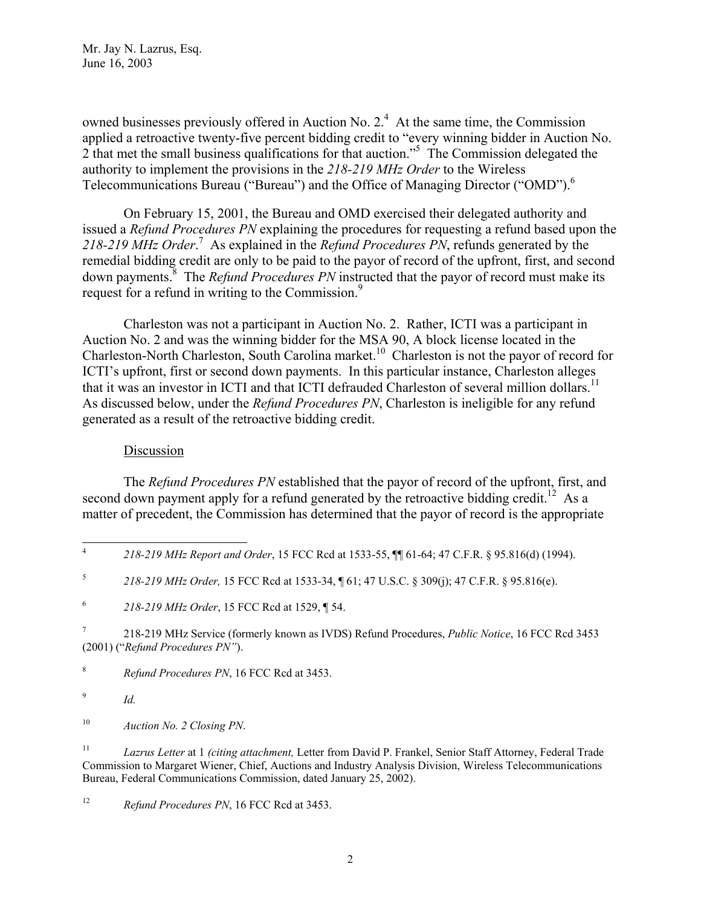Mr. Jay N. Lazrus, Esq. June 16, 2003

owned businesses previously offered in Auction No.  $2<sup>4</sup>$  At the same time, the Commission applied a retroactive twenty-five percent bidding credit to "every winning bidder in Auction No. 2 that met the small business qualifications for that auction."<sup>5</sup> The Commission delegated the authority to implement the provisions in the *218-219 MHz Order* to the Wireless Telecommunications Bureau ("Bureau") and the Office of Managing Director ("OMD").<sup>6</sup>

On February 15, 2001, the Bureau and OMD exercised their delegated authority and issued a *Refund Procedures PN* explaining the procedures for requesting a refund based upon the *218-219 MHz Order*. 7 As explained in the *Refund Procedures PN*, refunds generated by the remedial bidding credit are only to be paid to the payor of record of the upfront, first, and second down payments.<sup>8</sup> The *Refund Procedures PN* instructed that the payor of record must make its request for a refund in writing to the Commission.<sup>9</sup>

Charleston was not a participant in Auction No. 2. Rather, ICTI was a participant in Auction No. 2 and was the winning bidder for the MSA 90, A block license located in the Charleston-North Charleston, South Carolina market.<sup>10</sup> Charleston is not the payor of record for ICTI's upfront, first or second down payments. In this particular instance, Charleston alleges that it was an investor in ICTI and that ICTI defrauded Charleston of several million dollars.<sup>11</sup> As discussed below, under the *Refund Procedures PN*, Charleston is ineligible for any refund generated as a result of the retroactive bidding credit.

#### Discussion

The *Refund Procedures PN* established that the payor of record of the upfront, first, and second down payment apply for a refund generated by the retroactive bidding credit.<sup>12</sup> As a matter of precedent, the Commission has determined that the payor of record is the appropriate

8 *Refund Procedures PN*, 16 FCC Rcd at 3453.

9 *Id.*

10 *Auction No. 2 Closing PN*.

11 *Lazrus Letter* at 1 *(citing attachment,* Letter from David P. Frankel, Senior Staff Attorney, Federal Trade Commission to Margaret Wiener, Chief, Auctions and Industry Analysis Division, Wireless Telecommunications Bureau, Federal Communications Commission, dated January 25, 2002).

<sup>12</sup> *Refund Procedures PN*, 16 FCC Rcd at 3453.

 4 *218-219 MHz Report and Order*, 15 FCC Rcd at 1533-55, ¶¶ 61-64; 47 C.F.R. § 95.816(d) (1994).

<sup>5</sup> *218-219 MHz Order,* 15 FCC Rcd at 1533-34, ¶ 61; 47 U.S.C. § 309(j); 47 C.F.R. § 95.816(e).

<sup>6</sup> *218-219 MHz Order*, 15 FCC Rcd at 1529, ¶ 54.

<sup>7</sup> 218-219 MHz Service (formerly known as IVDS) Refund Procedures, *Public Notice*, 16 FCC Rcd 3453 (2001) ("*Refund Procedures PN"*).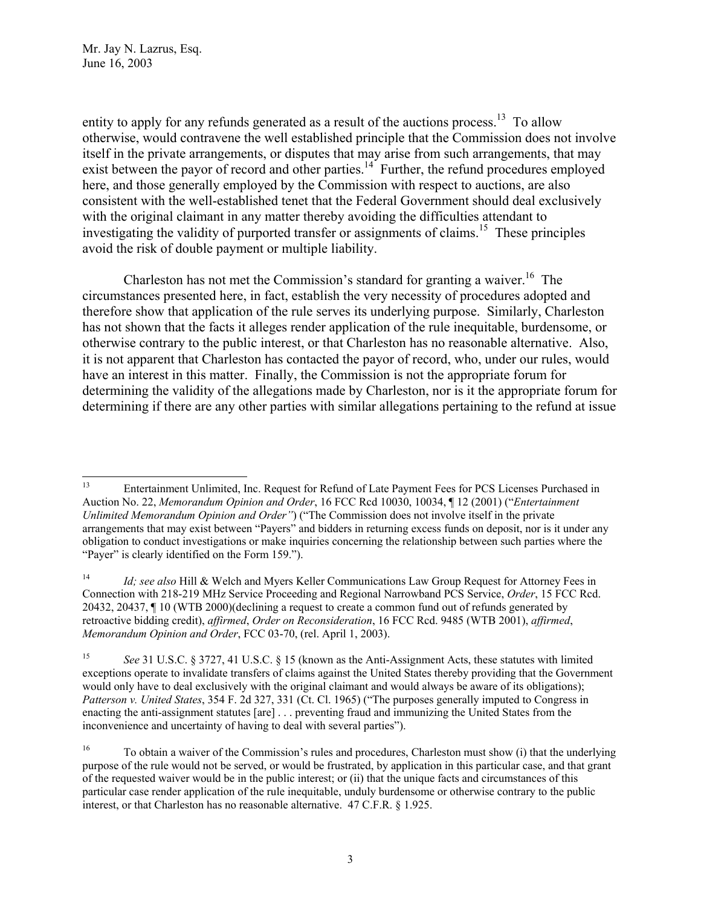Mr. Jay N. Lazrus, Esq. June 16, 2003

entity to apply for any refunds generated as a result of the auctions process.<sup>13</sup> To allow otherwise, would contravene the well established principle that the Commission does not involve itself in the private arrangements, or disputes that may arise from such arrangements, that may exist between the payor of record and other parties.<sup>14</sup> Further, the refund procedures employed here, and those generally employed by the Commission with respect to auctions, are also consistent with the well-established tenet that the Federal Government should deal exclusively with the original claimant in any matter thereby avoiding the difficulties attendant to investigating the validity of purported transfer or assignments of claims.<sup>15</sup> These principles avoid the risk of double payment or multiple liability.

Charleston has not met the Commission's standard for granting a waiver.<sup>16</sup> The circumstances presented here, in fact, establish the very necessity of procedures adopted and therefore show that application of the rule serves its underlying purpose. Similarly, Charleston has not shown that the facts it alleges render application of the rule inequitable, burdensome, or otherwise contrary to the public interest, or that Charleston has no reasonable alternative. Also, it is not apparent that Charleston has contacted the payor of record, who, under our rules, would have an interest in this matter. Finally, the Commission is not the appropriate forum for determining the validity of the allegations made by Charleston, nor is it the appropriate forum for determining if there are any other parties with similar allegations pertaining to the refund at issue

 $13\,$ 13 Entertainment Unlimited, Inc. Request for Refund of Late Payment Fees for PCS Licenses Purchased in Auction No. 22, *Memorandum Opinion and Order*, 16 FCC Rcd 10030, 10034, ¶ 12 (2001) ("*Entertainment Unlimited Memorandum Opinion and Order"*) ("The Commission does not involve itself in the private arrangements that may exist between "Payers" and bidders in returning excess funds on deposit, nor is it under any obligation to conduct investigations or make inquiries concerning the relationship between such parties where the "Payer" is clearly identified on the Form 159.").

<sup>&</sup>lt;sup>14</sup> *Id; see also* Hill & Welch and Myers Keller Communications Law Group Request for Attorney Fees in Connection with 218-219 MHz Service Proceeding and Regional Narrowband PCS Service, *Order*, 15 FCC Rcd. 20432, 20437, ¶ 10 (WTB 2000)(declining a request to create a common fund out of refunds generated by retroactive bidding credit), *affirmed*, *Order on Reconsideration*, 16 FCC Rcd. 9485 (WTB 2001), *affirmed*, *Memorandum Opinion and Order*, FCC 03-70, (rel. April 1, 2003).

<sup>15</sup> *See* 31 U.S.C. § 3727, 41 U.S.C. § 15 (known as the Anti-Assignment Acts, these statutes with limited exceptions operate to invalidate transfers of claims against the United States thereby providing that the Government would only have to deal exclusively with the original claimant and would always be aware of its obligations); *Patterson v. United States*, 354 F. 2d 327, 331 (Ct. Cl. 1965) ("The purposes generally imputed to Congress in enacting the anti-assignment statutes [are] . . . preventing fraud and immunizing the United States from the inconvenience and uncertainty of having to deal with several parties").

<sup>16</sup> To obtain a waiver of the Commission's rules and procedures, Charleston must show (i) that the underlying purpose of the rule would not be served, or would be frustrated, by application in this particular case, and that grant of the requested waiver would be in the public interest; or (ii) that the unique facts and circumstances of this particular case render application of the rule inequitable, unduly burdensome or otherwise contrary to the public interest, or that Charleston has no reasonable alternative. 47 C.F.R. § 1.925.